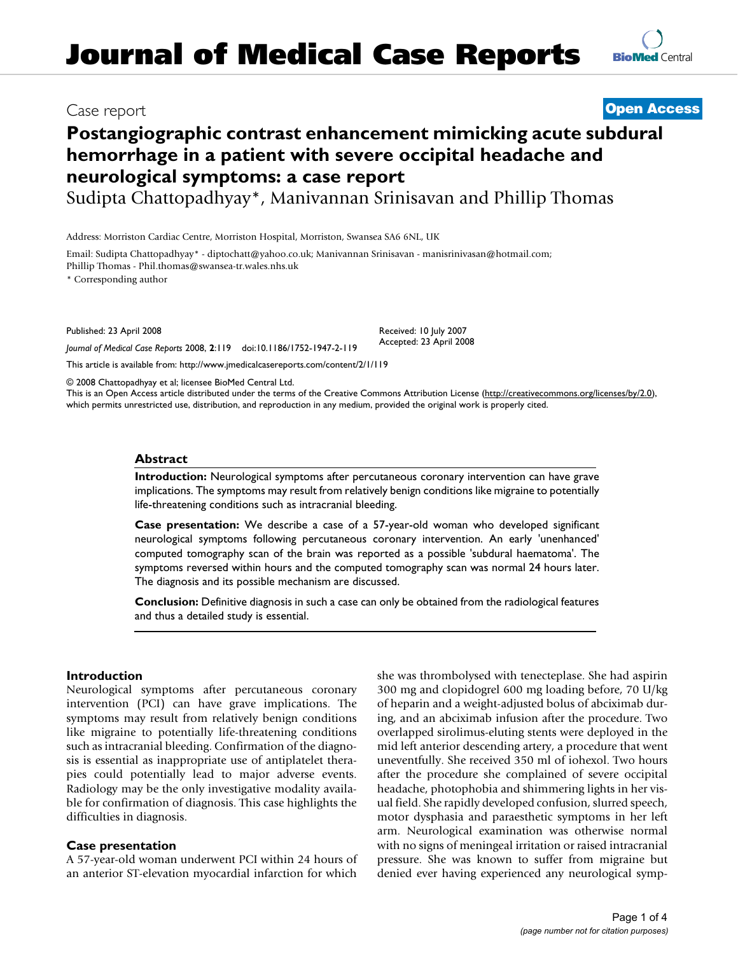# **Postangiographic contrast enhancement mimicking acute subdural hemorrhage in a patient with severe occipital headache and neurological symptoms: a case report**

Sudipta Chattopadhyay\*, Manivannan Srinisavan and Phillip Thomas

Address: Morriston Cardiac Centre, Morriston Hospital, Morriston, Swansea SA6 6NL, UK

Email: Sudipta Chattopadhyay\* - diptochatt@yahoo.co.uk; Manivannan Srinisavan - manisrinivasan@hotmail.com; Phillip Thomas - Phil.thomas@swansea-tr.wales.nhs.uk

\* Corresponding author

Published: 23 April 2008

*Journal of Medical Case Reports* 2008, **2**:119 doi:10.1186/1752-1947-2-119

[This article is available from: http://www.jmedicalcasereports.com/content/2/1/119](http://www.jmedicalcasereports.com/content/2/1/119)

© 2008 Chattopadhyay et al; licensee BioMed Central Ltd.

This is an Open Access article distributed under the terms of the Creative Commons Attribution License [\(http://creativecommons.org/licenses/by/2.0\)](http://creativecommons.org/licenses/by/2.0), which permits unrestricted use, distribution, and reproduction in any medium, provided the original work is properly cited.

Received: 10 July 2007 Accepted: 23 April 2008

#### **Abstract**

**Introduction:** Neurological symptoms after percutaneous coronary intervention can have grave implications. The symptoms may result from relatively benign conditions like migraine to potentially life-threatening conditions such as intracranial bleeding.

**Case presentation:** We describe a case of a 57-year-old woman who developed significant neurological symptoms following percutaneous coronary intervention. An early 'unenhanced' computed tomography scan of the brain was reported as a possible 'subdural haematoma'. The symptoms reversed within hours and the computed tomography scan was normal 24 hours later. The diagnosis and its possible mechanism are discussed.

**Conclusion:** Definitive diagnosis in such a case can only be obtained from the radiological features and thus a detailed study is essential.

#### **Introduction**

Neurological symptoms after percutaneous coronary intervention (PCI) can have grave implications. The symptoms may result from relatively benign conditions like migraine to potentially life-threatening conditions such as intracranial bleeding. Confirmation of the diagnosis is essential as inappropriate use of antiplatelet therapies could potentially lead to major adverse events. Radiology may be the only investigative modality available for confirmation of diagnosis. This case highlights the difficulties in diagnosis.

#### **Case presentation**

A 57-year-old woman underwent PCI within 24 hours of an anterior ST-elevation myocardial infarction for which

she was thrombolysed with tenecteplase. She had aspirin 300 mg and clopidogrel 600 mg loading before, 70 U/kg of heparin and a weight-adjusted bolus of abciximab during, and an abciximab infusion after the procedure. Two overlapped sirolimus-eluting stents were deployed in the mid left anterior descending artery, a procedure that went uneventfully. She received 350 ml of iohexol. Two hours after the procedure she complained of severe occipital headache, photophobia and shimmering lights in her visual field. She rapidly developed confusion, slurred speech, motor dysphasia and paraesthetic symptoms in her left arm. Neurological examination was otherwise normal with no signs of meningeal irritation or raised intracranial pressure. She was known to suffer from migraine but denied ever having experienced any neurological symp-



# Case report **[Open Access](http://www.biomedcentral.com/info/about/charter/)**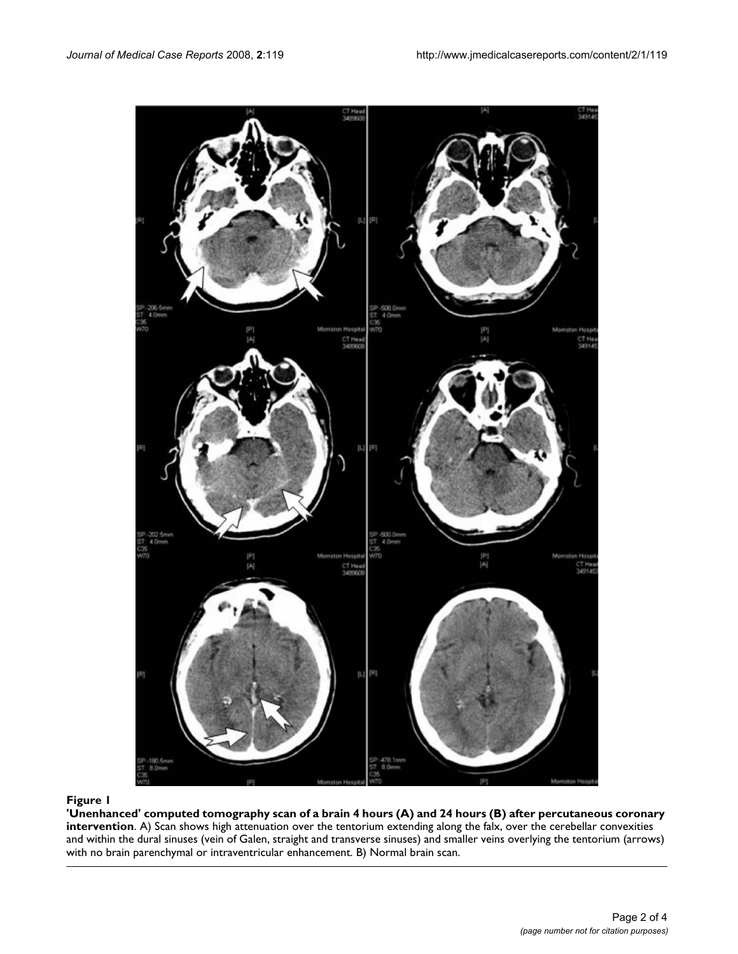

**'Unenhanced' computed tomography scan of a brain 4 hours (A) and 24 hours (B) after percutaneous coronary intervention**. A) Scan shows high attenuation over the tentorium extending along the falx, over the cerebellar convexities and within the dural sinuses (vein of Galen, straight and transverse sinuses) and smaller veins overlying the tentorium (arrows) with no brain parenchymal or intraventricular enhancement. B) Normal brain scan.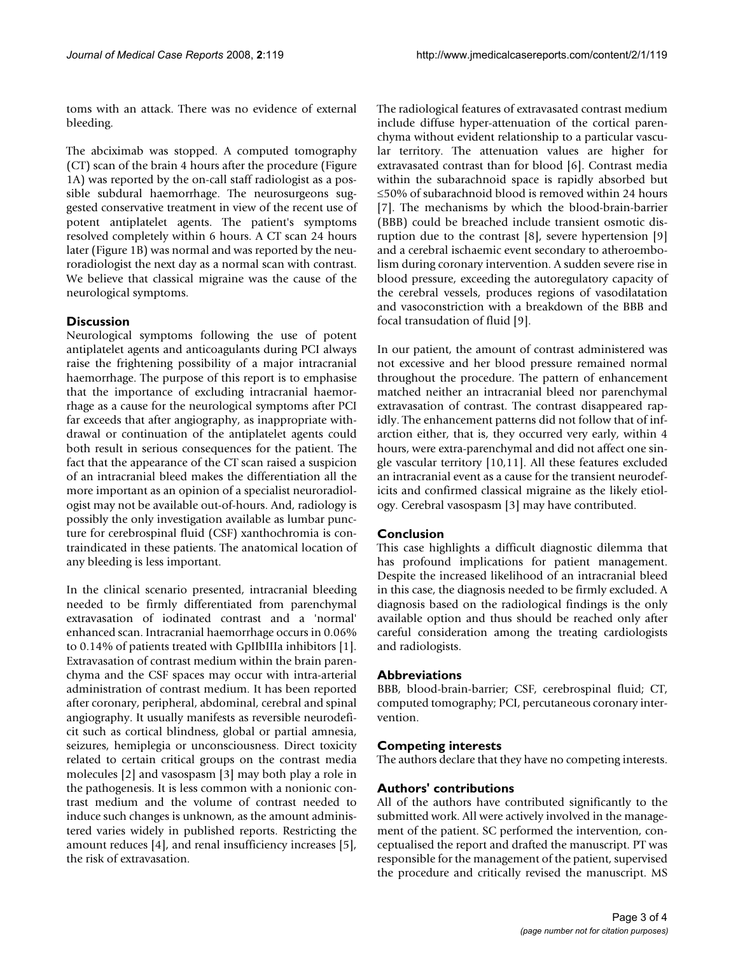toms with an attack. There was no evidence of external bleeding.

The abciximab was stopped. A computed tomography (CT) scan of the brain 4 hours after the procedure (Figure 1A) was reported by the on-call staff radiologist as a possible subdural haemorrhage. The neurosurgeons suggested conservative treatment in view of the recent use of potent antiplatelet agents. The patient's symptoms resolved completely within 6 hours. A CT scan 24 hours later (Figure 1B) was normal and was reported by the neuroradiologist the next day as a normal scan with contrast. We believe that classical migraine was the cause of the neurological symptoms.

# **Discussion**

Neurological symptoms following the use of potent antiplatelet agents and anticoagulants during PCI always raise the frightening possibility of a major intracranial haemorrhage. The purpose of this report is to emphasise that the importance of excluding intracranial haemorrhage as a cause for the neurological symptoms after PCI far exceeds that after angiography, as inappropriate withdrawal or continuation of the antiplatelet agents could both result in serious consequences for the patient. The fact that the appearance of the CT scan raised a suspicion of an intracranial bleed makes the differentiation all the more important as an opinion of a specialist neuroradiologist may not be available out-of-hours. And, radiology is possibly the only investigation available as lumbar puncture for cerebrospinal fluid (CSF) xanthochromia is contraindicated in these patients. The anatomical location of any bleeding is less important.

In the clinical scenario presented, intracranial bleeding needed to be firmly differentiated from parenchymal extravasation of iodinated contrast and a 'normal' enhanced scan. Intracranial haemorrhage occurs in 0.06% to 0.14% of patients treated with GpIIbIIIa inhibitors [1]. Extravasation of contrast medium within the brain parenchyma and the CSF spaces may occur with intra-arterial administration of contrast medium. It has been reported after coronary, peripheral, abdominal, cerebral and spinal angiography. It usually manifests as reversible neurodeficit such as cortical blindness, global or partial amnesia, seizures, hemiplegia or unconsciousness. Direct toxicity related to certain critical groups on the contrast media molecules [2] and vasospasm [3] may both play a role in the pathogenesis. It is less common with a nonionic contrast medium and the volume of contrast needed to induce such changes is unknown, as the amount administered varies widely in published reports. Restricting the amount reduces [4], and renal insufficiency increases [5], the risk of extravasation.

The radiological features of extravasated contrast medium include diffuse hyper-attenuation of the cortical parenchyma without evident relationship to a particular vascular territory. The attenuation values are higher for extravasated contrast than for blood [6]. Contrast media within the subarachnoid space is rapidly absorbed but ≤50% of subarachnoid blood is removed within 24 hours [7]. The mechanisms by which the blood-brain-barrier (BBB) could be breached include transient osmotic disruption due to the contrast [8], severe hypertension [9] and a cerebral ischaemic event secondary to atheroembolism during coronary intervention. A sudden severe rise in blood pressure, exceeding the autoregulatory capacity of the cerebral vessels, produces regions of vasodilatation and vasoconstriction with a breakdown of the BBB and focal transudation of fluid [9].

In our patient, the amount of contrast administered was not excessive and her blood pressure remained normal throughout the procedure. The pattern of enhancement matched neither an intracranial bleed nor parenchymal extravasation of contrast. The contrast disappeared rapidly. The enhancement patterns did not follow that of infarction either, that is, they occurred very early, within 4 hours, were extra-parenchymal and did not affect one single vascular territory [10,11]. All these features excluded an intracranial event as a cause for the transient neurodeficits and confirmed classical migraine as the likely etiology. Cerebral vasospasm [3] may have contributed.

# **Conclusion**

This case highlights a difficult diagnostic dilemma that has profound implications for patient management. Despite the increased likelihood of an intracranial bleed in this case, the diagnosis needed to be firmly excluded. A diagnosis based on the radiological findings is the only available option and thus should be reached only after careful consideration among the treating cardiologists and radiologists.

# **Abbreviations**

BBB, blood-brain-barrier; CSF, cerebrospinal fluid; CT, computed tomography; PCI, percutaneous coronary intervention.

# **Competing interests**

The authors declare that they have no competing interests.

# **Authors' contributions**

All of the authors have contributed significantly to the submitted work. All were actively involved in the management of the patient. SC performed the intervention, conceptualised the report and drafted the manuscript. PT was responsible for the management of the patient, supervised the procedure and critically revised the manuscript. MS